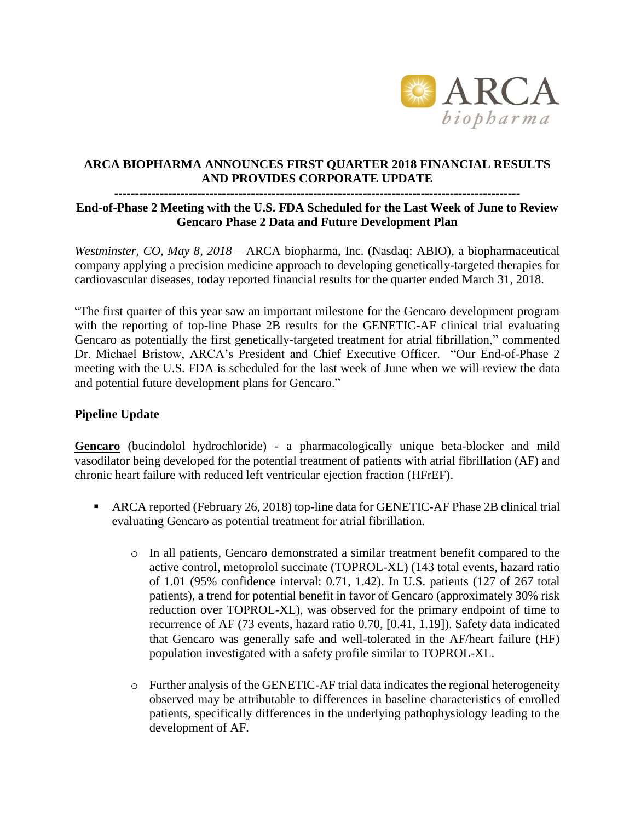

## **ARCA BIOPHARMA ANNOUNCES FIRST QUARTER 2018 FINANCIAL RESULTS AND PROVIDES CORPORATE UPDATE**

#### **--------------------------------------------------------------------------------------------------**

## **End-of-Phase 2 Meeting with the U.S. FDA Scheduled for the Last Week of June to Review Gencaro Phase 2 Data and Future Development Plan**

*Westminster, CO, May 8, 2018* – ARCA biopharma, Inc. (Nasdaq: ABIO), a biopharmaceutical company applying a precision medicine approach to developing genetically-targeted therapies for cardiovascular diseases, today reported financial results for the quarter ended March 31, 2018.

"The first quarter of this year saw an important milestone for the Gencaro development program with the reporting of top-line Phase 2B results for the GENETIC-AF clinical trial evaluating Gencaro as potentially the first genetically-targeted treatment for atrial fibrillation," commented Dr. Michael Bristow, ARCA's President and Chief Executive Officer. "Our End-of-Phase 2 meeting with the U.S. FDA is scheduled for the last week of June when we will review the data and potential future development plans for Gencaro."

# **Pipeline Update**

**Gencaro** (bucindolol hydrochloride) - a pharmacologically unique beta-blocker and mild vasodilator being developed for the potential treatment of patients with atrial fibrillation (AF) and chronic heart failure with reduced left ventricular ejection fraction (HFrEF).

- ARCA reported (February 26, 2018) top-line data for GENETIC-AF Phase 2B clinical trial evaluating Gencaro as potential treatment for atrial fibrillation.
	- o In all patients, Gencaro demonstrated a similar treatment benefit compared to the active control, metoprolol succinate (TOPROL-XL) (143 total events, hazard ratio of 1.01 (95% confidence interval: 0.71, 1.42). In U.S. patients (127 of 267 total patients), a trend for potential benefit in favor of Gencaro (approximately 30% risk reduction over TOPROL-XL), was observed for the primary endpoint of time to recurrence of AF (73 events, hazard ratio 0.70, [0.41, 1.19]). Safety data indicated that Gencaro was generally safe and well-tolerated in the AF/heart failure (HF) population investigated with a safety profile similar to TOPROL-XL.
	- o Further analysis of the GENETIC-AF trial data indicates the regional heterogeneity observed may be attributable to differences in baseline characteristics of enrolled patients, specifically differences in the underlying pathophysiology leading to the development of AF.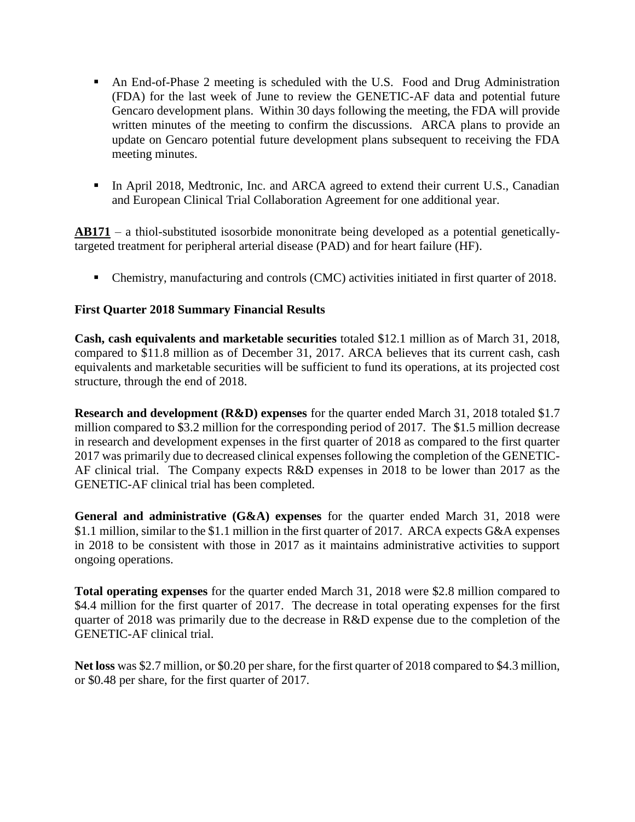- An End-of-Phase 2 meeting is scheduled with the U.S. Food and Drug Administration (FDA) for the last week of June to review the GENETIC-AF data and potential future Gencaro development plans. Within 30 days following the meeting, the FDA will provide written minutes of the meeting to confirm the discussions. ARCA plans to provide an update on Gencaro potential future development plans subsequent to receiving the FDA meeting minutes.
- **In April 2018, Medtronic, Inc. and ARCA agreed to extend their current U.S., Canadian** and European Clinical Trial Collaboration Agreement for one additional year.

**AB171** – a thiol-substituted isosorbide mononitrate being developed as a potential geneticallytargeted treatment for peripheral arterial disease (PAD) and for heart failure (HF).

■ Chemistry, manufacturing and controls (CMC) activities initiated in first quarter of 2018.

# **First Quarter 2018 Summary Financial Results**

**Cash, cash equivalents and marketable securities** totaled \$12.1 million as of March 31, 2018, compared to \$11.8 million as of December 31, 2017. ARCA believes that its current cash, cash equivalents and marketable securities will be sufficient to fund its operations, at its projected cost structure, through the end of 2018.

**Research and development (R&D) expenses** for the quarter ended March 31, 2018 totaled \$1.7 million compared to \$3.2 million for the corresponding period of 2017. The \$1.5 million decrease in research and development expenses in the first quarter of 2018 as compared to the first quarter 2017 was primarily due to decreased clinical expenses following the completion of the GENETIC-AF clinical trial. The Company expects R&D expenses in 2018 to be lower than 2017 as the GENETIC-AF clinical trial has been completed.

**General and administrative (G&A) expenses** for the quarter ended March 31, 2018 were \$1.1 million, similar to the \$1.1 million in the first quarter of 2017. ARCA expects G&A expenses in 2018 to be consistent with those in 2017 as it maintains administrative activities to support ongoing operations.

**Total operating expenses** for the quarter ended March 31, 2018 were \$2.8 million compared to \$4.4 million for the first quarter of 2017. The decrease in total operating expenses for the first quarter of 2018 was primarily due to the decrease in R&D expense due to the completion of the GENETIC-AF clinical trial.

**Net loss** was \$2.7 million, or \$0.20 per share, for the first quarter of 2018 compared to \$4.3 million, or \$0.48 per share, for the first quarter of 2017.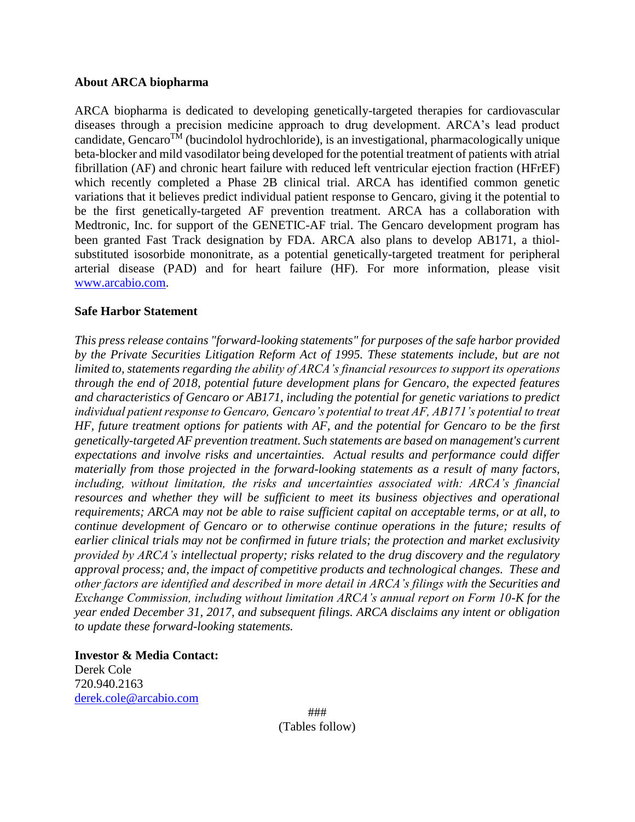## **About ARCA biopharma**

ARCA biopharma is dedicated to developing genetically-targeted therapies for cardiovascular diseases through a precision medicine approach to drug development. ARCA's lead product candidate, Gencaro<sup>TM</sup> (bucindolol hydrochloride), is an investigational, pharmacologically unique beta-blocker and mild vasodilator being developed for the potential treatment of patients with atrial fibrillation (AF) and chronic heart failure with reduced left ventricular ejection fraction (HFrEF) which recently completed a Phase 2B clinical trial. ARCA has identified common genetic variations that it believes predict individual patient response to Gencaro, giving it the potential to be the first genetically-targeted AF prevention treatment. ARCA has a collaboration with Medtronic, Inc. for support of the GENETIC-AF trial. The Gencaro development program has been granted Fast Track designation by FDA. ARCA also plans to develop AB171, a thiolsubstituted isosorbide mononitrate, as a potential genetically-targeted treatment for peripheral arterial disease (PAD) and for heart failure (HF). For more information, please visit [www.arcabio.com.](http://www.arcabio.com/)

## **Safe Harbor Statement**

*This press release contains "forward-looking statements" for purposes of the safe harbor provided by the Private Securities Litigation Reform Act of 1995. These statements include, but are not limited to, statements regarding the ability of ARCA's financial resources to support its operations through the end of 2018, potential future development plans for Gencaro, the expected features and characteristics of Gencaro or AB171, including the potential for genetic variations to predict individual patient response to Gencaro, Gencaro's potential to treat AF, AB171's potential to treat HF, future treatment options for patients with AF, and the potential for Gencaro to be the first genetically-targeted AF prevention treatment. Such statements are based on management's current expectations and involve risks and uncertainties. Actual results and performance could differ materially from those projected in the forward-looking statements as a result of many factors, including, without limitation, the risks and uncertainties associated with: ARCA's financial resources and whether they will be sufficient to meet its business objectives and operational requirements; ARCA may not be able to raise sufficient capital on acceptable terms, or at all, to continue development of Gencaro or to otherwise continue operations in the future; results of earlier clinical trials may not be confirmed in future trials; the protection and market exclusivity provided by ARCA's intellectual property; risks related to the drug discovery and the regulatory approval process; and, the impact of competitive products and technological changes. These and other factors are identified and described in more detail in ARCA's filings with the Securities and Exchange Commission, including without limitation ARCA's annual report on Form 10-K for the year ended December 31, 2017, and subsequent filings. ARCA disclaims any intent or obligation to update these forward-looking statements.*

**Investor & Media Contact:** Derek Cole 720.940.2163 [derek.cole@arcabio.com](mailto:derek.cole@arcabio.com)

> ### (Tables follow)